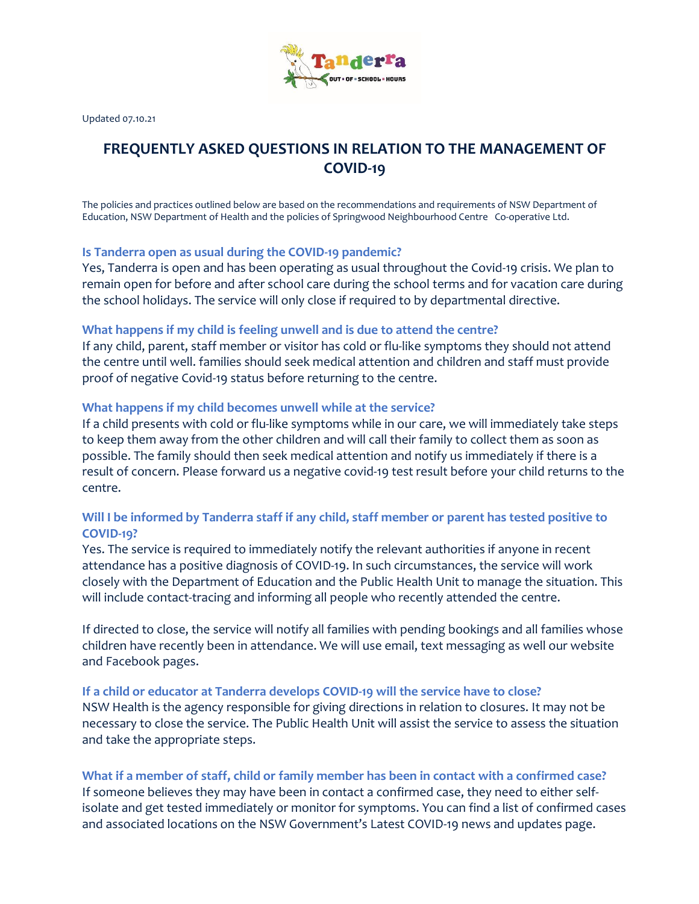

Updated 07.10.21

# **FREQUENTLY ASKED QUESTIONS IN RELATION TO THE MANAGEMENT OF COVID-19**

The policies and practices outlined below are based on the recommendations and requirements of NSW Department of Education, NSW Department of Health and the policies of Springwood Neighbourhood Centre Co-operative Ltd.

#### **Is Tanderra open as usual during the COVID-19 pandemic?**

Yes, Tanderra is open and has been operating as usual throughout the Covid-19 crisis. We plan to remain open for before and after school care during the school terms and for vacation care during the school holidays. The service will only close if required to by departmental directive.

#### **What happens if my child is feeling unwell and is due to attend the centre?**

If any child, parent, staff member or visitor has cold or flu-like symptoms they should not attend the centre until well. families should seek medical attention and children and staff must provide proof of negative Covid-19 status before returning to the centre.

#### **What happens if my child becomes unwell while at the service?**

If a child presents with cold or flu-like symptoms while in our care, we will immediately take steps to keep them away from the other children and will call their family to collect them as soon as possible. The family should then seek medical attention and notify us immediately if there is a result of concern. Please forward us a negative covid-19 test result before your child returns to the centre.

## **Will I be informed by Tanderra staff if any child, staff member or parent has tested positive to COVID-19?**

Yes. The service is required to immediately notify the relevant authorities if anyone in recent attendance has a positive diagnosis of COVID-19. In such circumstances, the service will work closely with the Department of Education and the Public Health Unit to manage the situation. This will include contact-tracing and informing all people who recently attended the centre.

If directed to close, the service will notify all families with pending bookings and all families whose children have recently been in attendance. We will use email, text messaging as well our website and Facebook pages.

**If a child or educator at Tanderra develops COVID-19 will the service have to close?**  NSW Health is the agency responsible for giving directions in relation to closures. It may not be necessary to close the service. The Public Health Unit will assist the service to assess the situation and take the appropriate steps.

## **What if a member of staff, child or family member has been in contact with a confirmed case?**  If someone believes they may have been in contact a confirmed case, they need to either selfisolate and get tested immediately or monitor for symptoms. You can find a list of confirmed cases

and associated locations on the NSW Government's [Latest COVID-19 news and updates page.](https://www.nsw.gov.au/covid-19/latest-news-and-updates)